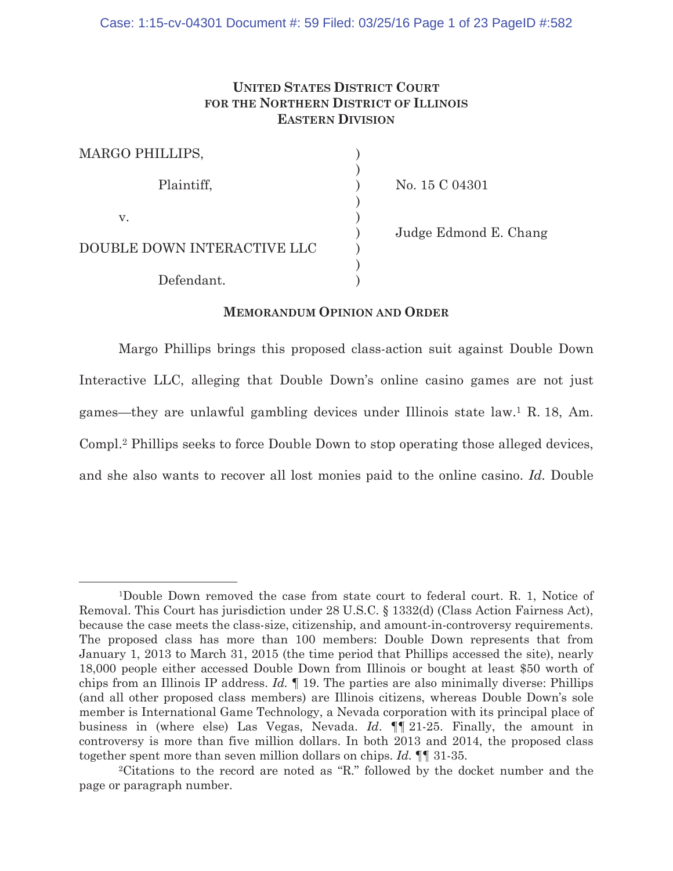# **UNITED STATES DISTRICT COURT FOR THE NORTHERN DISTRICT OF ILLINOIS EASTERN DIVISION**

| MARGO PHILLIPS,             |                       |
|-----------------------------|-----------------------|
|                             |                       |
| Plaintiff,                  | No. 15 C 04301        |
|                             |                       |
| V.                          |                       |
|                             | Judge Edmond E. Chang |
| DOUBLE DOWN INTERACTIVE LLC |                       |
|                             |                       |
| Defendant.                  |                       |

## **MEMORANDUM OPINION AND ORDER**

Margo Phillips brings this proposed class-action suit against Double Down Interactive LLC, alleging that Double Down's online casino games are not just games—they are unlawful gambling devices under Illinois state law.1 R. 18, Am. Compl.2 Phillips seeks to force Double Down to stop operating those alleged devices, and she also wants to recover all lost monies paid to the online casino. *Id.* Double

<sup>1</sup>Double Down removed the case from state court to federal court. R. 1, Notice of Removal. This Court has jurisdiction under 28 U.S.C. § 1332(d) (Class Action Fairness Act), because the case meets the class-size, citizenship, and amount-in-controversy requirements. The proposed class has more than 100 members: Double Down represents that from January 1, 2013 to March 31, 2015 (the time period that Phillips accessed the site), nearly 18,000 people either accessed Double Down from Illinois or bought at least \$50 worth of chips from an Illinois IP address. *Id.* ¶ 19. The parties are also minimally diverse: Phillips (and all other proposed class members) are Illinois citizens, whereas Double Down's sole member is International Game Technology, a Nevada corporation with its principal place of business in (where else) Las Vegas, Nevada. *Id*. ¶¶ 21-25. Finally, the amount in controversy is more than five million dollars. In both 2013 and 2014, the proposed class together spent more than seven million dollars on chips. *Id.* ¶¶ 31-35.

<sup>2</sup>Citations to the record are noted as "R." followed by the docket number and the page or paragraph number.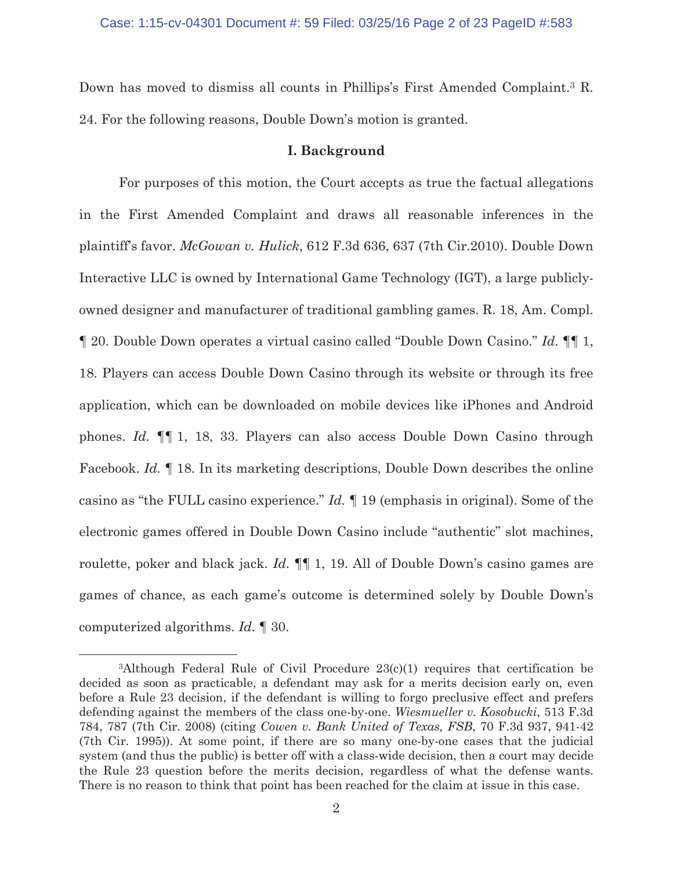Down has moved to dismiss all counts in Phillips's First Amended Complaint.3 R. 24. For the following reasons, Double Down's motion is granted.

## **I. Background**

For purposes of this motion, the Court accepts as true the factual allegations in the First Amended Complaint and draws all reasonable inferences in the plaintiff's favor. *McGowan v. Hulick*, 612 F.3d 636, 637 (7th Cir.2010). Double Down Interactive LLC is owned by International Game Technology (IGT), a large publiclyowned designer and manufacturer of traditional gambling games. R. 18, Am. Compl. ¶ 20. Double Down operates a virtual casino called "Double Down Casino." *Id.* ¶¶ 1, 18. Players can access Double Down Casino through its website or through its free application, which can be downloaded on mobile devices like iPhones and Android phones. *Id.* ¶¶ 1, 18, 33. Players can also access Double Down Casino through Facebook. *Id.* ¶ 18. In its marketing descriptions, Double Down describes the online casino as "the FULL casino experience." *Id.* ¶ 19 (emphasis in original). Some of the electronic games offered in Double Down Casino include "authentic" slot machines, roulette, poker and black jack. *Id.* ¶¶ 1, 19. All of Double Down's casino games are games of chance, as each game's outcome is determined solely by Double Down's computerized algorithms. *Id.* ¶ 30.

<sup>3</sup>Although Federal Rule of Civil Procedure 23(c)(1) requires that certification be decided as soon as practicable, a defendant may ask for a merits decision early on, even before a Rule 23 decision, if the defendant is willing to forgo preclusive effect and prefers defending against the members of the class one-by-one. *Wiesmueller v. Kosobucki*, 513 F.3d 784, 787 (7th Cir. 2008) (citing *Cowen v. Bank United of Texas, FSB*, 70 F.3d 937, 941-42 (7th Cir. 1995)). At some point, if there are so many one-by-one cases that the judicial system (and thus the public) is better off with a class-wide decision, then a court may decide the Rule 23 question before the merits decision, regardless of what the defense wants. There is no reason to think that point has been reached for the claim at issue in this case.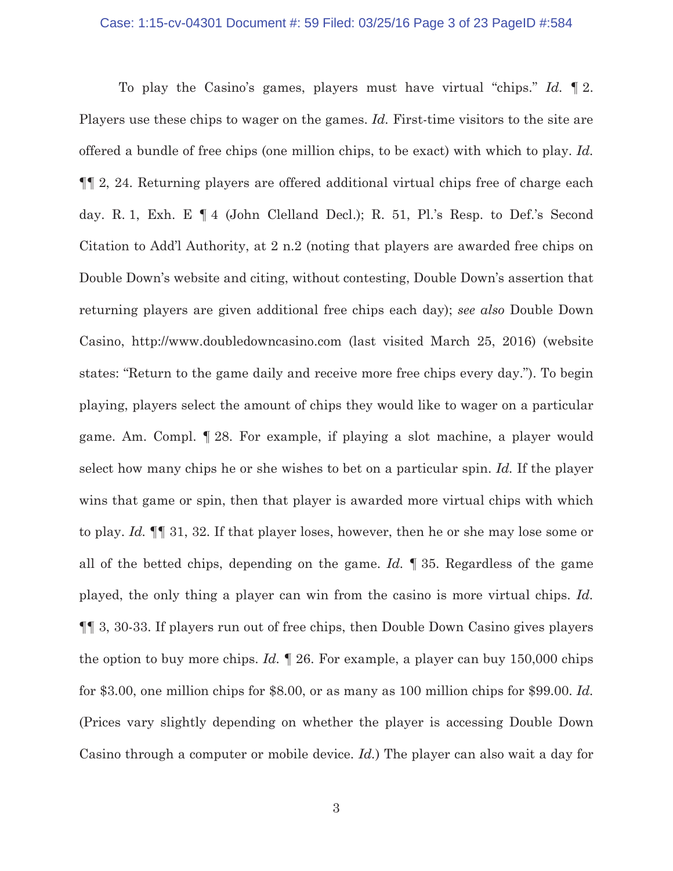### Case: 1:15-cv-04301 Document #: 59 Filed: 03/25/16 Page 3 of 23 PageID #:584

To play the Casino's games, players must have virtual "chips." *Id.* ¶ 2. Players use these chips to wager on the games. *Id.* First-time visitors to the site are offered a bundle of free chips (one million chips, to be exact) with which to play. *Id.* ¶¶ 2, 24. Returning players are offered additional virtual chips free of charge each day. R. 1, Exh. E ¶ 4 (John Clelland Decl.); R. 51, Pl.'s Resp. to Def.'s Second Citation to Add'l Authority, at 2 n.2 (noting that players are awarded free chips on Double Down's website and citing, without contesting, Double Down's assertion that returning players are given additional free chips each day); *see also* Double Down Casino, http://www.doubledowncasino.com (last visited March 25, 2016) (website states: "Return to the game daily and receive more free chips every day."). To begin playing, players select the amount of chips they would like to wager on a particular game. Am. Compl. ¶ 28. For example, if playing a slot machine, a player would select how many chips he or she wishes to bet on a particular spin. *Id.* If the player wins that game or spin, then that player is awarded more virtual chips with which to play. *Id.* ¶¶ 31, 32. If that player loses, however, then he or she may lose some or all of the betted chips, depending on the game. *Id.* ¶ 35. Regardless of the game played, the only thing a player can win from the casino is more virtual chips. *Id.* ¶¶ 3, 30-33. If players run out of free chips, then Double Down Casino gives players the option to buy more chips. *Id.* ¶ 26. For example, a player can buy 150,000 chips for \$3.00, one million chips for \$8.00, or as many as 100 million chips for \$99.00. *Id.* (Prices vary slightly depending on whether the player is accessing Double Down Casino through a computer or mobile device. *Id.*) The player can also wait a day for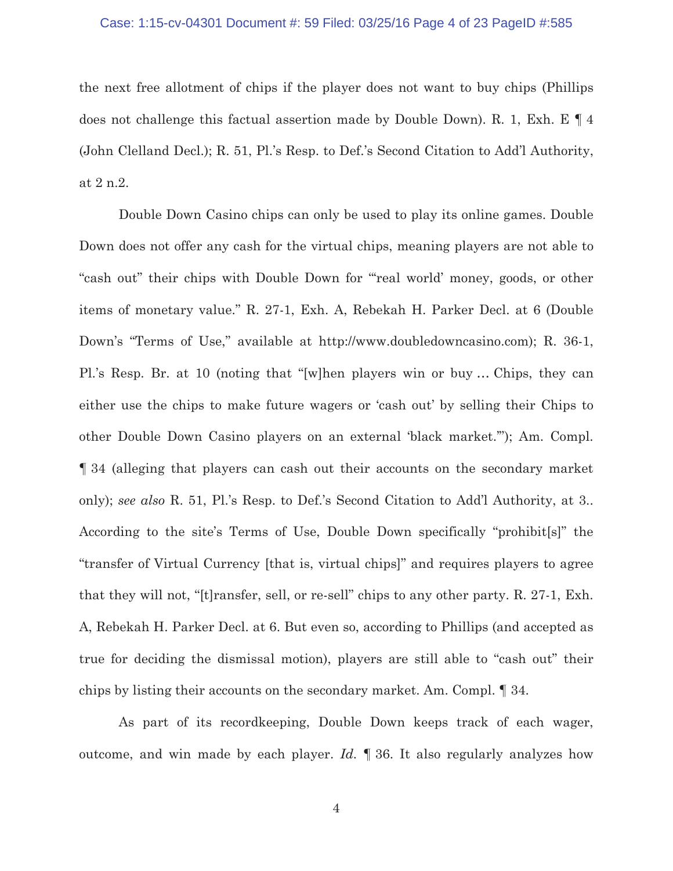### Case: 1:15-cv-04301 Document #: 59 Filed: 03/25/16 Page 4 of 23 PageID #:585

the next free allotment of chips if the player does not want to buy chips (Phillips does not challenge this factual assertion made by Double Down). R. 1, Exh. E ¶ 4 (John Clelland Decl.); R. 51, Pl.'s Resp. to Def.'s Second Citation to Add'l Authority, at 2 n.2.

Double Down Casino chips can only be used to play its online games. Double Down does not offer any cash for the virtual chips, meaning players are not able to "cash out" their chips with Double Down for "'real world' money, goods, or other items of monetary value." R. 27-1, Exh. A, Rebekah H. Parker Decl. at 6 (Double Down's "Terms of Use," available at http://www.doubledowncasino.com); R. 36-1, Pl.'s Resp. Br. at 10 (noting that "[w]hen players win or buy … Chips, they can either use the chips to make future wagers or 'cash out' by selling their Chips to other Double Down Casino players on an external 'black market.'"); Am. Compl. ¶ 34 (alleging that players can cash out their accounts on the secondary market only); *see also* R. 51, Pl.'s Resp. to Def.'s Second Citation to Add'l Authority, at 3.. According to the site's Terms of Use, Double Down specifically "prohibit[s]" the "transfer of Virtual Currency [that is, virtual chips]" and requires players to agree that they will not, "[t]ransfer, sell, or re-sell" chips to any other party. R. 27-1, Exh. A, Rebekah H. Parker Decl. at 6. But even so, according to Phillips (and accepted as true for deciding the dismissal motion), players are still able to "cash out" their chips by listing their accounts on the secondary market. Am. Compl. ¶ 34.

As part of its recordkeeping, Double Down keeps track of each wager, outcome, and win made by each player. *Id.* ¶ 36. It also regularly analyzes how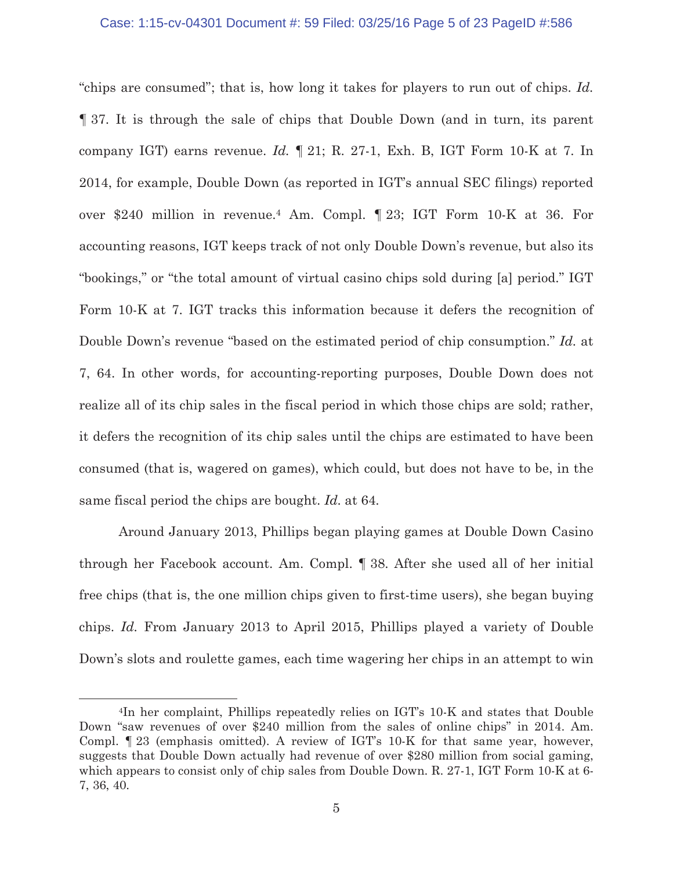### Case: 1:15-cv-04301 Document #: 59 Filed: 03/25/16 Page 5 of 23 PageID #:586

"chips are consumed"; that is, how long it takes for players to run out of chips. *Id.* ¶ 37. It is through the sale of chips that Double Down (and in turn, its parent company IGT) earns revenue. *Id.* ¶ 21; R. 27-1, Exh. B, IGT Form 10-K at 7. In 2014, for example, Double Down (as reported in IGT's annual SEC filings) reported over \$240 million in revenue.4 Am. Compl. ¶ 23; IGT Form 10-K at 36. For accounting reasons, IGT keeps track of not only Double Down's revenue, but also its "bookings," or "the total amount of virtual casino chips sold during [a] period." IGT Form 10-K at 7. IGT tracks this information because it defers the recognition of Double Down's revenue "based on the estimated period of chip consumption." *Id.* at 7, 64. In other words, for accounting-reporting purposes, Double Down does not realize all of its chip sales in the fiscal period in which those chips are sold; rather, it defers the recognition of its chip sales until the chips are estimated to have been consumed (that is, wagered on games), which could, but does not have to be, in the same fiscal period the chips are bought. *Id.* at 64.

Around January 2013, Phillips began playing games at Double Down Casino through her Facebook account. Am. Compl. ¶ 38. After she used all of her initial free chips (that is, the one million chips given to first-time users), she began buying chips. *Id.* From January 2013 to April 2015, Phillips played a variety of Double Down's slots and roulette games, each time wagering her chips in an attempt to win

<sup>4</sup>In her complaint, Phillips repeatedly relies on IGT's 10-K and states that Double Down "saw revenues of over \$240 million from the sales of online chips" in 2014. Am. Compl. ¶ 23 (emphasis omitted). A review of IGT's 10-K for that same year, however, suggests that Double Down actually had revenue of over \$280 million from social gaming, which appears to consist only of chip sales from Double Down. R. 27-1, IGT Form 10-K at 6- 7, 36, 40.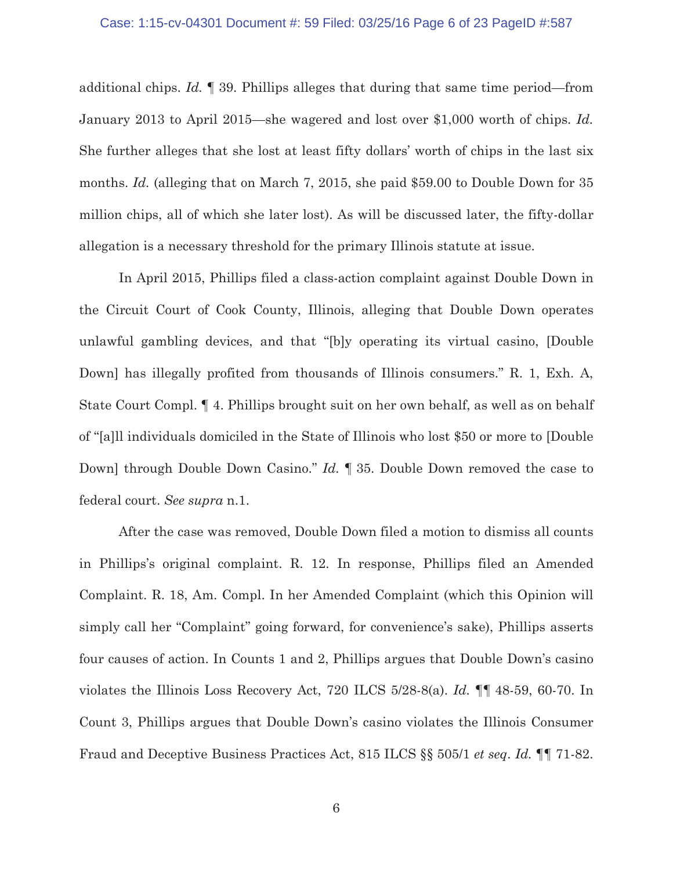additional chips. *Id.* ¶ 39. Phillips alleges that during that same time period—from January 2013 to April 2015—she wagered and lost over \$1,000 worth of chips. *Id.* She further alleges that she lost at least fifty dollars' worth of chips in the last six months. *Id.* (alleging that on March 7, 2015, she paid \$59.00 to Double Down for 35 million chips, all of which she later lost). As will be discussed later, the fifty-dollar allegation is a necessary threshold for the primary Illinois statute at issue.

In April 2015, Phillips filed a class-action complaint against Double Down in the Circuit Court of Cook County, Illinois, alleging that Double Down operates unlawful gambling devices, and that "[b]y operating its virtual casino, [Double Down] has illegally profited from thousands of Illinois consumers." R. 1, Exh. A, State Court Compl. ¶ 4. Phillips brought suit on her own behalf, as well as on behalf of "[a]ll individuals domiciled in the State of Illinois who lost \$50 or more to [Double Down] through Double Down Casino." *Id.* ¶ 35. Double Down removed the case to federal court. *See supra* n.1.

After the case was removed, Double Down filed a motion to dismiss all counts in Phillips's original complaint. R. 12. In response, Phillips filed an Amended Complaint. R. 18, Am. Compl. In her Amended Complaint (which this Opinion will simply call her "Complaint" going forward, for convenience's sake), Phillips asserts four causes of action. In Counts 1 and 2, Phillips argues that Double Down's casino violates the Illinois Loss Recovery Act, 720 ILCS 5/28-8(a). *Id.* ¶¶ 48-59, 60-70. In Count 3, Phillips argues that Double Down's casino violates the Illinois Consumer Fraud and Deceptive Business Practices Act, 815 ILCS §§ 505/1 *et seq*. *Id.* ¶¶ 71-82.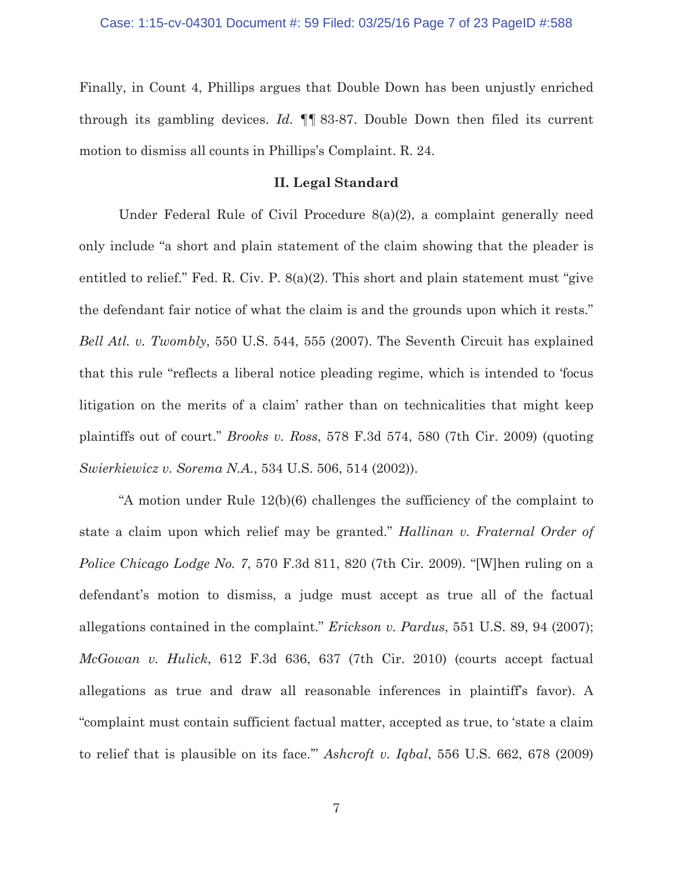Finally, in Count 4, Phillips argues that Double Down has been unjustly enriched through its gambling devices. *Id.* ¶¶ 83-87. Double Down then filed its current motion to dismiss all counts in Phillips's Complaint. R. 24.

## **II. Legal Standard**

Under Federal Rule of Civil Procedure 8(a)(2), a complaint generally need only include "a short and plain statement of the claim showing that the pleader is entitled to relief." Fed. R. Civ. P. 8(a)(2). This short and plain statement must "give the defendant fair notice of what the claim is and the grounds upon which it rests." *Bell Atl. v. Twombly*, 550 U.S. 544, 555 (2007). The Seventh Circuit has explained that this rule "reflects a liberal notice pleading regime, which is intended to 'focus litigation on the merits of a claim' rather than on technicalities that might keep plaintiffs out of court." *Brooks v. Ross*, 578 F.3d 574, 580 (7th Cir. 2009) (quoting *Swierkiewicz v. Sorema N.A.*, 534 U.S. 506, 514 (2002)).

"A motion under Rule 12(b)(6) challenges the sufficiency of the complaint to state a claim upon which relief may be granted." *Hallinan v. Fraternal Order of Police Chicago Lodge No. 7*, 570 F.3d 811, 820 (7th Cir. 2009). "[W]hen ruling on a defendant's motion to dismiss, a judge must accept as true all of the factual allegations contained in the complaint." *Erickson v. Pardus*, 551 U.S. 89, 94 (2007); *McGowan v. Hulick*, 612 F.3d 636, 637 (7th Cir. 2010) (courts accept factual allegations as true and draw all reasonable inferences in plaintiff's favor). A "complaint must contain sufficient factual matter, accepted as true, to 'state a claim to relief that is plausible on its face.'" *Ashcroft v. Iqbal*, 556 U.S. 662, 678 (2009)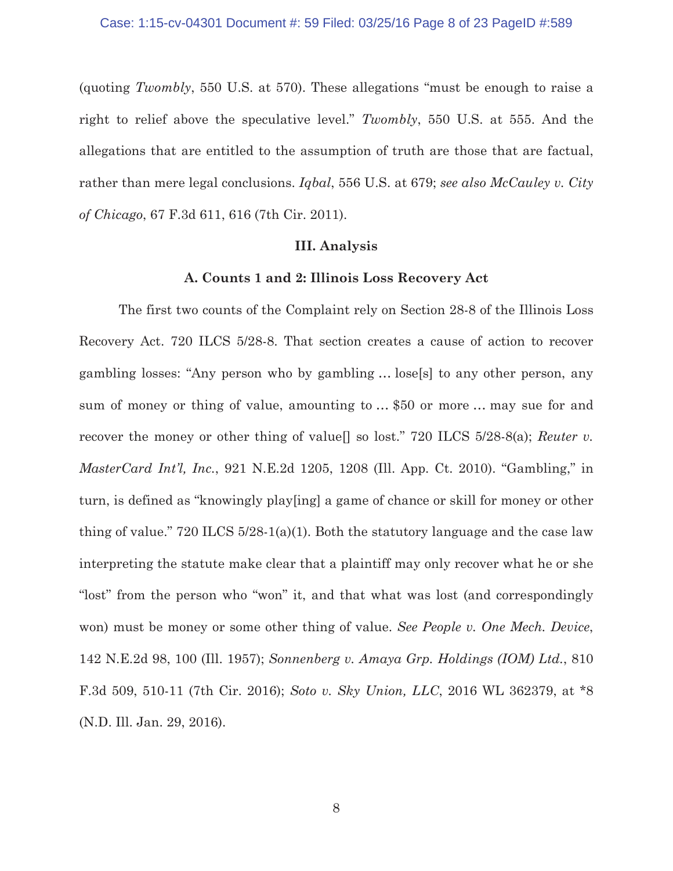(quoting *Twombly*, 550 U.S. at 570). These allegations "must be enough to raise a right to relief above the speculative level." *Twombly*, 550 U.S. at 555. And the allegations that are entitled to the assumption of truth are those that are factual, rather than mere legal conclusions. *Iqbal*, 556 U.S. at 679; *see also McCauley v. City of Chicago*, 67 F.3d 611, 616 (7th Cir. 2011).

## **III. Analysis**

## **A. Counts 1 and 2: Illinois Loss Recovery Act**

 The first two counts of the Complaint rely on Section 28-8 of the Illinois Loss Recovery Act. 720 ILCS 5/28-8. That section creates a cause of action to recover gambling losses: "Any person who by gambling … lose[s] to any other person, any sum of money or thing of value, amounting to … \$50 or more … may sue for and recover the money or other thing of value[] so lost." 720 ILCS 5/28-8(a); *Reuter v. MasterCard Int'l, Inc.*, 921 N.E.2d 1205, 1208 (Ill. App. Ct. 2010). "Gambling," in turn, is defined as "knowingly play[ing] a game of chance or skill for money or other thing of value." 720 ILCS 5/28-1(a)(1). Both the statutory language and the case law interpreting the statute make clear that a plaintiff may only recover what he or she "lost" from the person who "won" it, and that what was lost (and correspondingly won) must be money or some other thing of value. *See People v. One Mech. Device*, 142 N.E.2d 98, 100 (Ill. 1957); *Sonnenberg v. Amaya Grp. Holdings (IOM) Ltd.*, 810 F.3d 509, 510-11 (7th Cir. 2016); *Soto v. Sky Union, LLC*, 2016 WL 362379, at \*8 (N.D. Ill. Jan. 29, 2016).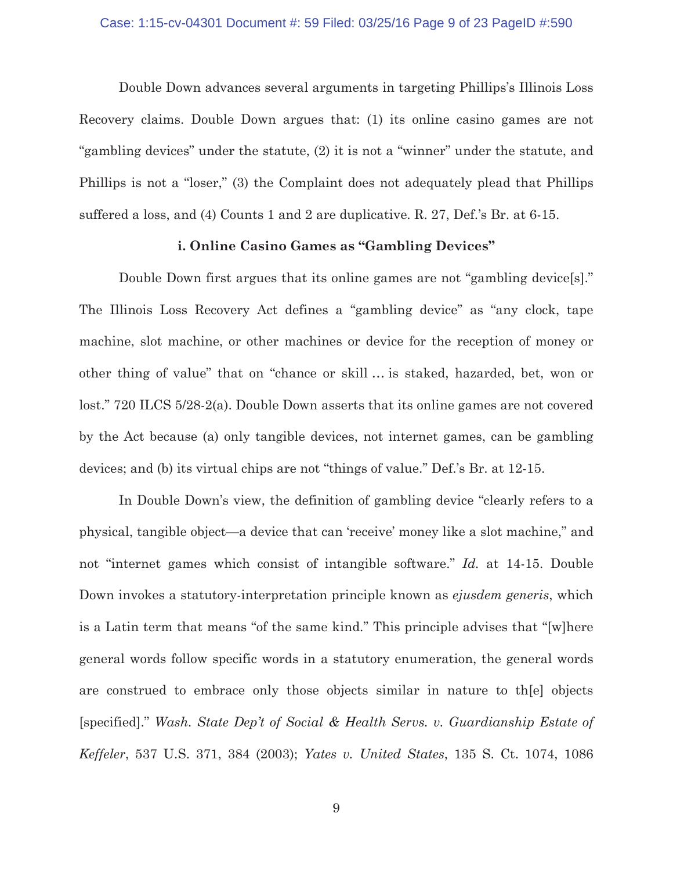### Case: 1:15-cv-04301 Document #: 59 Filed: 03/25/16 Page 9 of 23 PageID #:590

 Double Down advances several arguments in targeting Phillips's Illinois Loss Recovery claims. Double Down argues that: (1) its online casino games are not "gambling devices" under the statute, (2) it is not a "winner" under the statute, and Phillips is not a "loser," (3) the Complaint does not adequately plead that Phillips suffered a loss, and (4) Counts 1 and 2 are duplicative. R. 27, Def.'s Br. at 6-15.

## **i. Online Casino Games as "Gambling Devices"**

 Double Down first argues that its online games are not "gambling device[s]." The Illinois Loss Recovery Act defines a "gambling device" as "any clock, tape machine, slot machine, or other machines or device for the reception of money or other thing of value" that on "chance or skill … is staked, hazarded, bet, won or lost." 720 ILCS 5/28-2(a). Double Down asserts that its online games are not covered by the Act because (a) only tangible devices, not internet games, can be gambling devices; and (b) its virtual chips are not "things of value." Def.'s Br. at 12-15.

In Double Down's view, the definition of gambling device "clearly refers to a physical, tangible object—a device that can 'receive' money like a slot machine," and not "internet games which consist of intangible software." *Id.* at 14-15. Double Down invokes a statutory-interpretation principle known as *ejusdem generis*, which is a Latin term that means "of the same kind." This principle advises that "[w]here general words follow specific words in a statutory enumeration, the general words are construed to embrace only those objects similar in nature to th[e] objects [specified]." *Wash. State Dep't of Social & Health Servs. v. Guardianship Estate of Keffeler*, 537 U.S. 371, 384 (2003); *Yates v. United States*, 135 S. Ct. 1074, 1086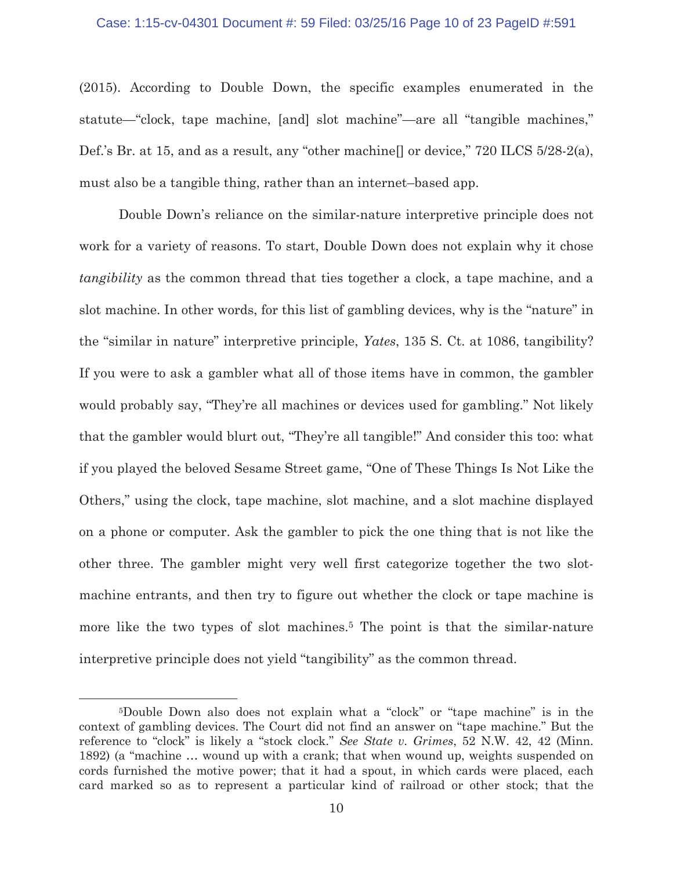### Case: 1:15-cv-04301 Document #: 59 Filed: 03/25/16 Page 10 of 23 PageID #:591

(2015). According to Double Down, the specific examples enumerated in the statute—"clock, tape machine, [and] slot machine"—are all "tangible machines," Def.'s Br. at 15, and as a result, any "other machine. or device," 720 ILCS 5/28-2(a), must also be a tangible thing, rather than an internet–based app.

Double Down's reliance on the similar-nature interpretive principle does not work for a variety of reasons. To start, Double Down does not explain why it chose *tangibility* as the common thread that ties together a clock, a tape machine, and a slot machine. In other words, for this list of gambling devices, why is the "nature" in the "similar in nature" interpretive principle, *Yates*, 135 S. Ct. at 1086, tangibility? If you were to ask a gambler what all of those items have in common, the gambler would probably say, "They're all machines or devices used for gambling." Not likely that the gambler would blurt out, "They're all tangible!" And consider this too: what if you played the beloved Sesame Street game, "One of These Things Is Not Like the Others," using the clock, tape machine, slot machine, and a slot machine displayed on a phone or computer. Ask the gambler to pick the one thing that is not like the other three. The gambler might very well first categorize together the two slotmachine entrants, and then try to figure out whether the clock or tape machine is more like the two types of slot machines.<sup>5</sup> The point is that the similar-nature interpretive principle does not yield "tangibility" as the common thread.

<sup>5</sup>Double Down also does not explain what a "clock" or "tape machine" is in the context of gambling devices. The Court did not find an answer on "tape machine." But the reference to "clock" is likely a "stock clock." *See State v. Grimes*, 52 N.W. 42, 42 (Minn. 1892) (a "machine … wound up with a crank; that when wound up, weights suspended on cords furnished the motive power; that it had a spout, in which cards were placed, each card marked so as to represent a particular kind of railroad or other stock; that the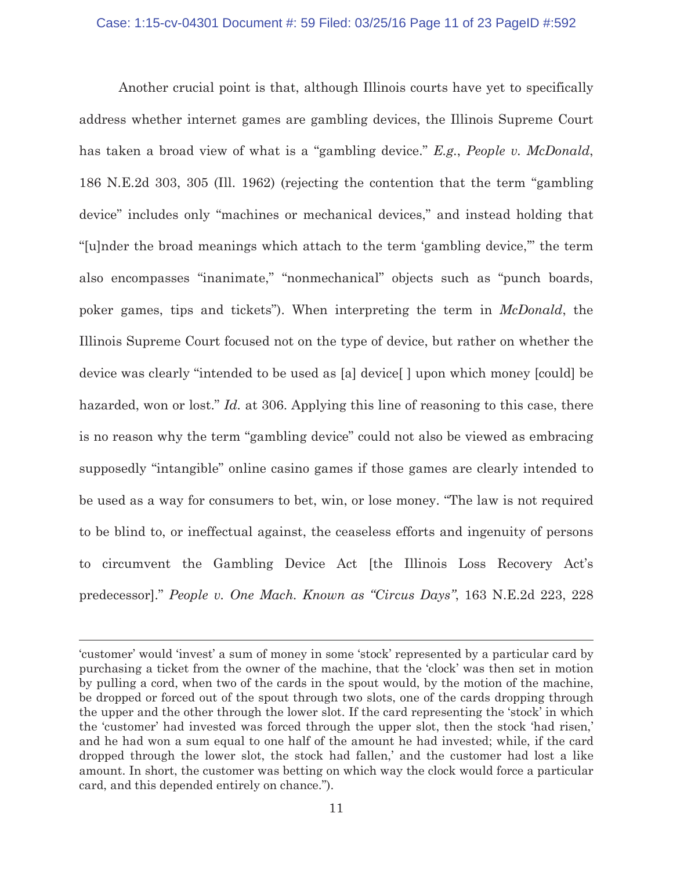### Case: 1:15-cv-04301 Document #: 59 Filed: 03/25/16 Page 11 of 23 PageID #:592

Another crucial point is that, although Illinois courts have yet to specifically address whether internet games are gambling devices, the Illinois Supreme Court has taken a broad view of what is a "gambling device." *E.g.*, *People v. McDonald*, 186 N.E.2d 303, 305 (Ill. 1962) (rejecting the contention that the term "gambling device" includes only "machines or mechanical devices," and instead holding that "[u]nder the broad meanings which attach to the term 'gambling device,'" the term also encompasses "inanimate," "nonmechanical" objects such as "punch boards, poker games, tips and tickets"). When interpreting the term in *McDonald*, the Illinois Supreme Court focused not on the type of device, but rather on whether the device was clearly "intended to be used as [a] device[ ] upon which money [could] be hazarded, won or lost." *Id.* at 306. Applying this line of reasoning to this case, there is no reason why the term "gambling device" could not also be viewed as embracing supposedly "intangible" online casino games if those games are clearly intended to be used as a way for consumers to bet, win, or lose money. "The law is not required to be blind to, or ineffectual against, the ceaseless efforts and ingenuity of persons to circumvent the Gambling Device Act [the Illinois Loss Recovery Act's predecessor]." *People v. One Mach. Known as "Circus Days"*, 163 N.E.2d 223, 228

<sup>&#</sup>x27;customer' would 'invest' a sum of money in some 'stock' represented by a particular card by purchasing a ticket from the owner of the machine, that the 'clock' was then set in motion by pulling a cord, when two of the cards in the spout would, by the motion of the machine, be dropped or forced out of the spout through two slots, one of the cards dropping through the upper and the other through the lower slot. If the card representing the 'stock' in which the 'customer' had invested was forced through the upper slot, then the stock 'had risen,' and he had won a sum equal to one half of the amount he had invested; while, if the card dropped through the lower slot, the stock had fallen,' and the customer had lost a like amount. In short, the customer was betting on which way the clock would force a particular card, and this depended entirely on chance.").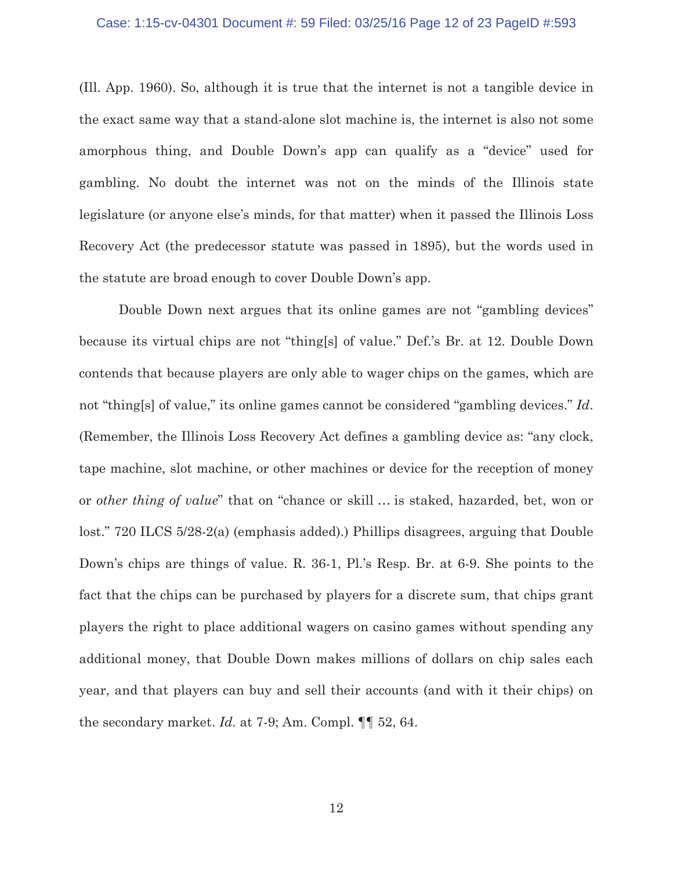### Case: 1:15-cv-04301 Document #: 59 Filed: 03/25/16 Page 12 of 23 PageID #:593

(Ill. App. 1960). So, although it is true that the internet is not a tangible device in the exact same way that a stand-alone slot machine is, the internet is also not some amorphous thing, and Double Down's app can qualify as a "device" used for gambling. No doubt the internet was not on the minds of the Illinois state legislature (or anyone else's minds, for that matter) when it passed the Illinois Loss Recovery Act (the predecessor statute was passed in 1895), but the words used in the statute are broad enough to cover Double Down's app.

Double Down next argues that its online games are not "gambling devices" because its virtual chips are not "thing[s] of value." Def.'s Br. at 12. Double Down contends that because players are only able to wager chips on the games, which are not "thing[s] of value," its online games cannot be considered "gambling devices." *Id*. (Remember, the Illinois Loss Recovery Act defines a gambling device as: "any clock, tape machine, slot machine, or other machines or device for the reception of money or *other thing of value*" that on "chance or skill … is staked, hazarded, bet, won or lost." 720 ILCS 5/28-2(a) (emphasis added).) Phillips disagrees, arguing that Double Down's chips are things of value. R. 36-1, Pl.'s Resp. Br. at 6-9. She points to the fact that the chips can be purchased by players for a discrete sum, that chips grant players the right to place additional wagers on casino games without spending any additional money, that Double Down makes millions of dollars on chip sales each year, and that players can buy and sell their accounts (and with it their chips) on the secondary market. *Id.* at 7-9; Am. Compl. ¶¶ 52, 64.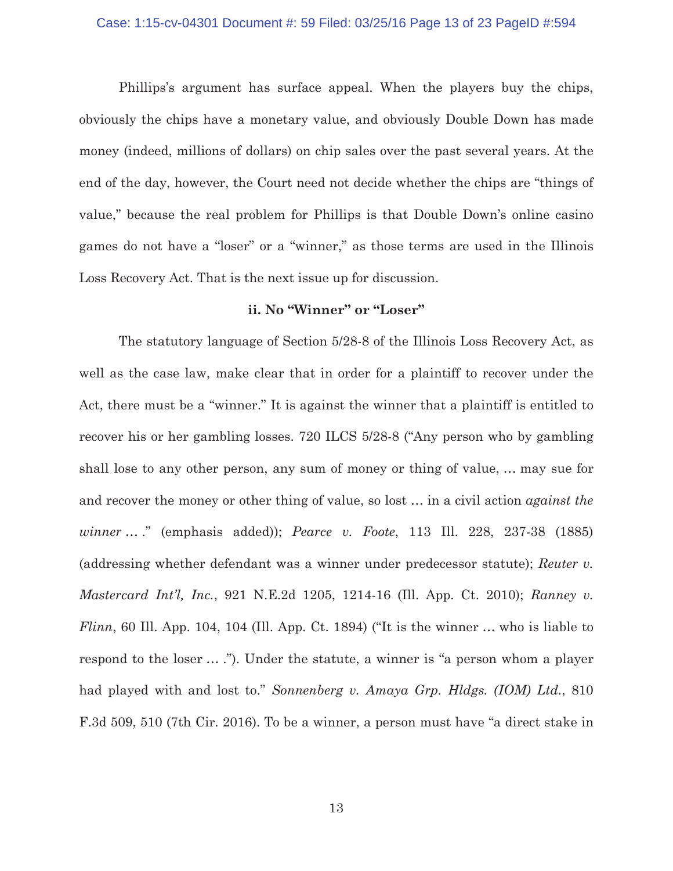### Case: 1:15-cv-04301 Document #: 59 Filed: 03/25/16 Page 13 of 23 PageID #:594

Phillips's argument has surface appeal. When the players buy the chips, obviously the chips have a monetary value, and obviously Double Down has made money (indeed, millions of dollars) on chip sales over the past several years. At the end of the day, however, the Court need not decide whether the chips are "things of value," because the real problem for Phillips is that Double Down's online casino games do not have a "loser" or a "winner," as those terms are used in the Illinois Loss Recovery Act. That is the next issue up for discussion.

## **ii. No "Winner" or "Loser"**

The statutory language of Section 5/28-8 of the Illinois Loss Recovery Act, as well as the case law, make clear that in order for a plaintiff to recover under the Act, there must be a "winner." It is against the winner that a plaintiff is entitled to recover his or her gambling losses. 720 ILCS 5/28-8 ("Any person who by gambling shall lose to any other person, any sum of money or thing of value, … may sue for and recover the money or other thing of value, so lost … in a civil action *against the winner* … ." (emphasis added)); *Pearce v. Foote*, 113 Ill. 228, 237-38 (1885) (addressing whether defendant was a winner under predecessor statute); *Reuter v. Mastercard Int'l, Inc.*, 921 N.E.2d 1205, 1214-16 (Ill. App. Ct. 2010); *Ranney v. Flinn*, 60 Ill. App. 104, 104 (Ill. App. Ct. 1894) ("It is the winner ... who is liable to respond to the loser … ."). Under the statute, a winner is "a person whom a player had played with and lost to." *Sonnenberg v. Amaya Grp. Hldgs. (IOM) Ltd.*, 810 F.3d 509, 510 (7th Cir. 2016). To be a winner, a person must have "a direct stake in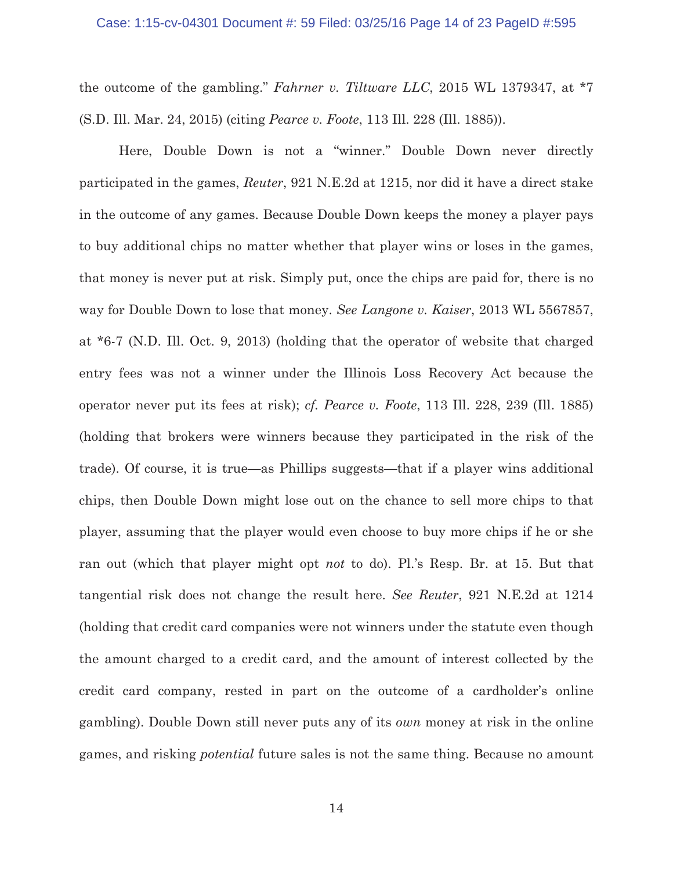the outcome of the gambling." *Fahrner v. Tiltware LLC*, 2015 WL 1379347, at \*7 (S.D. Ill. Mar. 24, 2015) (citing *Pearce v. Foote*, 113 Ill. 228 (Ill. 1885)).

Here, Double Down is not a "winner." Double Down never directly participated in the games, *Reuter*, 921 N.E.2d at 1215, nor did it have a direct stake in the outcome of any games. Because Double Down keeps the money a player pays to buy additional chips no matter whether that player wins or loses in the games, that money is never put at risk. Simply put, once the chips are paid for, there is no way for Double Down to lose that money. *See Langone v. Kaiser*, 2013 WL 5567857, at \*6-7 (N.D. Ill. Oct. 9, 2013) (holding that the operator of website that charged entry fees was not a winner under the Illinois Loss Recovery Act because the operator never put its fees at risk); *cf. Pearce v. Foote*, 113 Ill. 228, 239 (Ill. 1885) (holding that brokers were winners because they participated in the risk of the trade). Of course, it is true—as Phillips suggests—that if a player wins additional chips, then Double Down might lose out on the chance to sell more chips to that player, assuming that the player would even choose to buy more chips if he or she ran out (which that player might opt *not* to do). Pl.'s Resp. Br. at 15. But that tangential risk does not change the result here. *See Reuter*, 921 N.E.2d at 1214 (holding that credit card companies were not winners under the statute even though the amount charged to a credit card, and the amount of interest collected by the credit card company, rested in part on the outcome of a cardholder's online gambling). Double Down still never puts any of its *own* money at risk in the online games, and risking *potential* future sales is not the same thing. Because no amount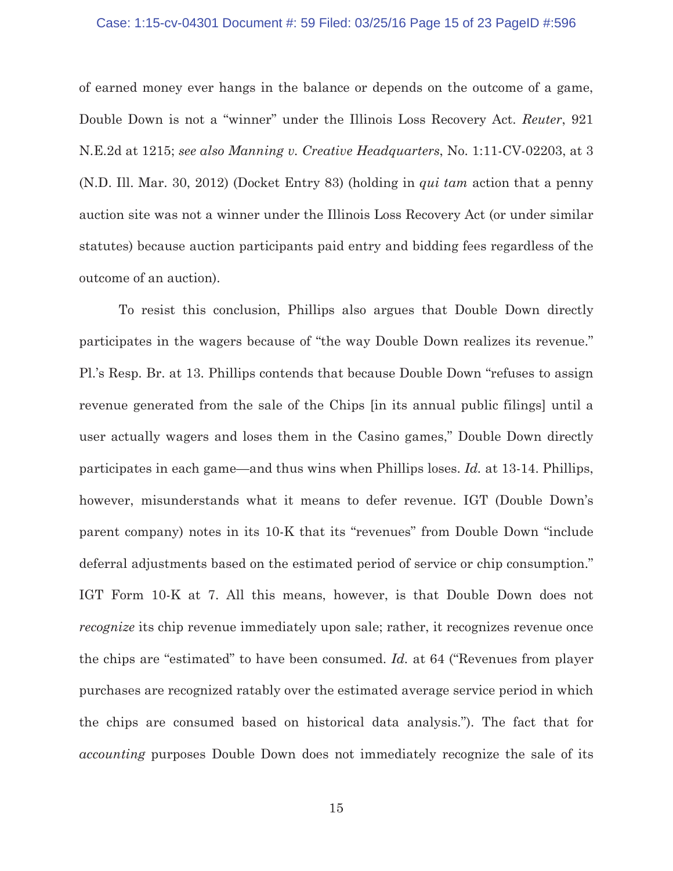### Case: 1:15-cv-04301 Document #: 59 Filed: 03/25/16 Page 15 of 23 PageID #:596

of earned money ever hangs in the balance or depends on the outcome of a game, Double Down is not a "winner" under the Illinois Loss Recovery Act. *Reuter*, 921 N.E.2d at 1215; *see also Manning v. Creative Headquarters*, No. 1:11-CV-02203, at 3 (N.D. Ill. Mar. 30, 2012) (Docket Entry 83) (holding in *qui tam* action that a penny auction site was not a winner under the Illinois Loss Recovery Act (or under similar statutes) because auction participants paid entry and bidding fees regardless of the outcome of an auction).

To resist this conclusion, Phillips also argues that Double Down directly participates in the wagers because of "the way Double Down realizes its revenue." Pl.'s Resp. Br. at 13. Phillips contends that because Double Down "refuses to assign revenue generated from the sale of the Chips [in its annual public filings] until a user actually wagers and loses them in the Casino games," Double Down directly participates in each game—and thus wins when Phillips loses. *Id.* at 13-14. Phillips, however, misunderstands what it means to defer revenue. IGT (Double Down's parent company) notes in its 10-K that its "revenues" from Double Down "include deferral adjustments based on the estimated period of service or chip consumption." IGT Form 10-K at 7. All this means, however, is that Double Down does not *recognize* its chip revenue immediately upon sale; rather, it recognizes revenue once the chips are "estimated" to have been consumed. *Id.* at 64 ("Revenues from player purchases are recognized ratably over the estimated average service period in which the chips are consumed based on historical data analysis."). The fact that for *accounting* purposes Double Down does not immediately recognize the sale of its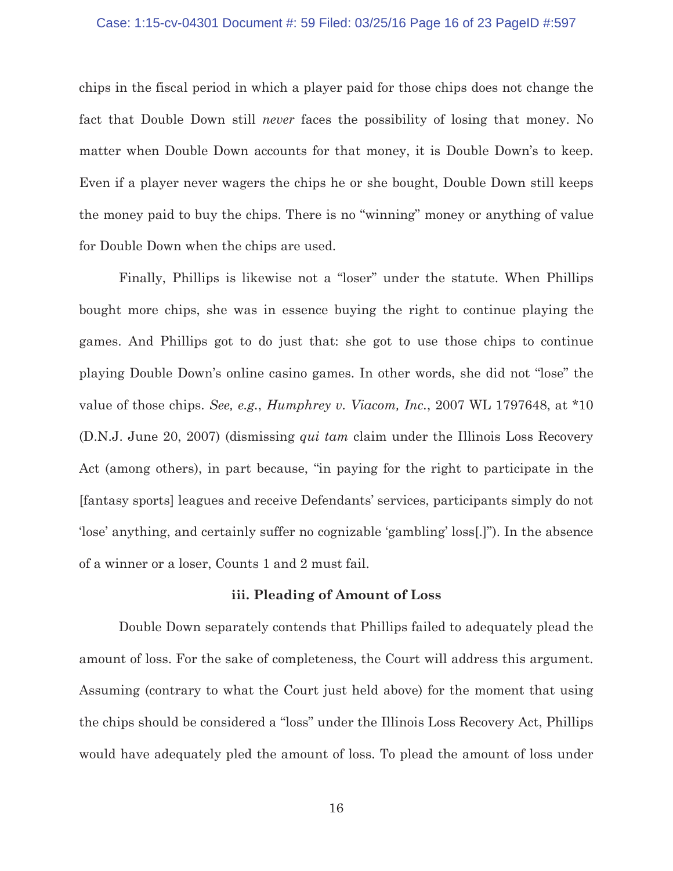### Case: 1:15-cv-04301 Document #: 59 Filed: 03/25/16 Page 16 of 23 PageID #:597

chips in the fiscal period in which a player paid for those chips does not change the fact that Double Down still *never* faces the possibility of losing that money. No matter when Double Down accounts for that money, it is Double Down's to keep. Even if a player never wagers the chips he or she bought, Double Down still keeps the money paid to buy the chips. There is no "winning" money or anything of value for Double Down when the chips are used.

Finally, Phillips is likewise not a "loser" under the statute. When Phillips bought more chips, she was in essence buying the right to continue playing the games. And Phillips got to do just that: she got to use those chips to continue playing Double Down's online casino games. In other words, she did not "lose" the value of those chips. *See, e.g.*, *Humphrey v. Viacom, Inc.*, 2007 WL 1797648, at \*10 (D.N.J. June 20, 2007) (dismissing *qui tam* claim under the Illinois Loss Recovery Act (among others), in part because, "in paying for the right to participate in the [fantasy sports] leagues and receive Defendants' services, participants simply do not 'lose' anything, and certainly suffer no cognizable 'gambling' loss[.]"). In the absence of a winner or a loser, Counts 1 and 2 must fail.

## **iii. Pleading of Amount of Loss**

Double Down separately contends that Phillips failed to adequately plead the amount of loss. For the sake of completeness, the Court will address this argument. Assuming (contrary to what the Court just held above) for the moment that using the chips should be considered a "loss" under the Illinois Loss Recovery Act, Phillips would have adequately pled the amount of loss. To plead the amount of loss under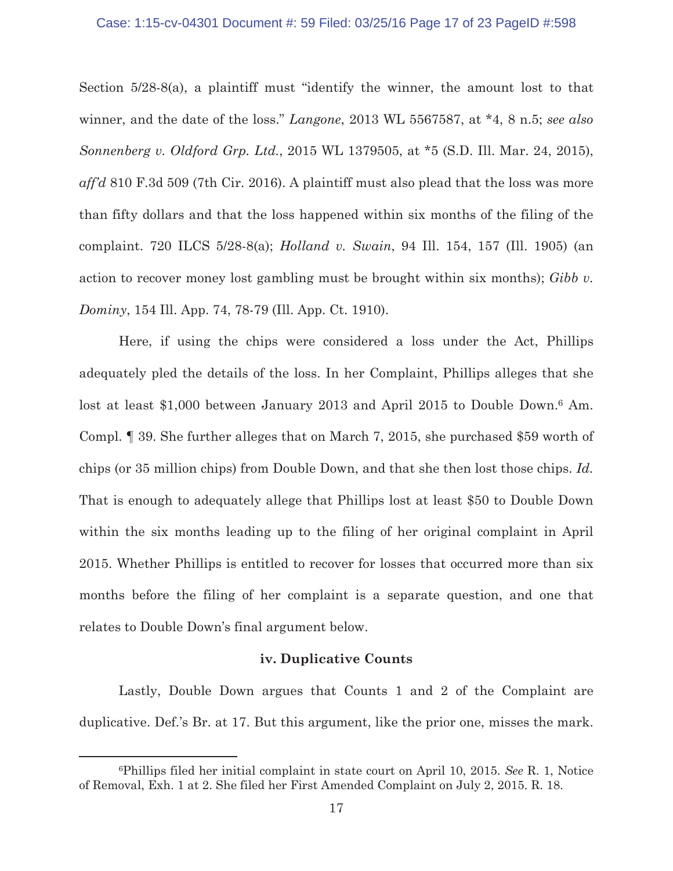### Case: 1:15-cv-04301 Document #: 59 Filed: 03/25/16 Page 17 of 23 PageID #:598

Section 5/28-8(a), a plaintiff must "identify the winner, the amount lost to that winner, and the date of the loss." *Langone*, 2013 WL 5567587, at \*4, 8 n.5; *see also Sonnenberg v. Oldford Grp. Ltd.*, 2015 WL 1379505, at \*5 (S.D. Ill. Mar. 24, 2015), *aff'd* 810 F.3d 509 (7th Cir. 2016). A plaintiff must also plead that the loss was more than fifty dollars and that the loss happened within six months of the filing of the complaint. 720 ILCS 5/28-8(a); *Holland v. Swain*, 94 Ill. 154, 157 (Ill. 1905) (an action to recover money lost gambling must be brought within six months); *Gibb v. Dominy*, 154 Ill. App. 74, 78-79 (Ill. App. Ct. 1910).

Here, if using the chips were considered a loss under the Act, Phillips adequately pled the details of the loss. In her Complaint, Phillips alleges that she lost at least \$1,000 between January 2013 and April 2015 to Double Down.<sup>6</sup> Am. Compl. ¶ 39. She further alleges that on March 7, 2015, she purchased \$59 worth of chips (or 35 million chips) from Double Down, and that she then lost those chips. *Id.* That is enough to adequately allege that Phillips lost at least \$50 to Double Down within the six months leading up to the filing of her original complaint in April 2015. Whether Phillips is entitled to recover for losses that occurred more than six months before the filing of her complaint is a separate question, and one that relates to Double Down's final argument below.

## **iv. Duplicative Counts**

Lastly, Double Down argues that Counts 1 and 2 of the Complaint are duplicative. Def.'s Br. at 17. But this argument, like the prior one, misses the mark.

<sup>6</sup>Phillips filed her initial complaint in state court on April 10, 2015. *See* R. 1, Notice of Removal, Exh. 1 at 2. She filed her First Amended Complaint on July 2, 2015. R. 18.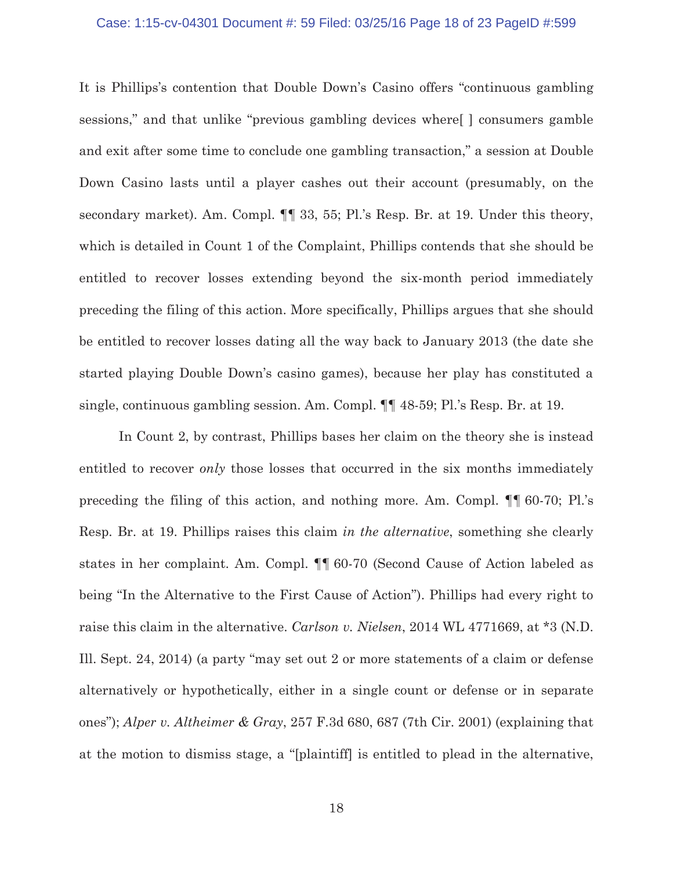### Case: 1:15-cv-04301 Document #: 59 Filed: 03/25/16 Page 18 of 23 PageID #:599

It is Phillips's contention that Double Down's Casino offers "continuous gambling sessions," and that unlike "previous gambling devices where[ ] consumers gamble and exit after some time to conclude one gambling transaction," a session at Double Down Casino lasts until a player cashes out their account (presumably, on the secondary market). Am. Compl. ¶¶ 33, 55; Pl.'s Resp. Br. at 19. Under this theory, which is detailed in Count 1 of the Complaint, Phillips contends that she should be entitled to recover losses extending beyond the six-month period immediately preceding the filing of this action. More specifically, Phillips argues that she should be entitled to recover losses dating all the way back to January 2013 (the date she started playing Double Down's casino games), because her play has constituted a single, continuous gambling session. Am. Compl. ¶¶ 48-59; Pl.'s Resp. Br. at 19.

In Count 2, by contrast, Phillips bases her claim on the theory she is instead entitled to recover *only* those losses that occurred in the six months immediately preceding the filing of this action, and nothing more. Am. Compl. ¶¶ 60-70; Pl.'s Resp. Br. at 19. Phillips raises this claim *in the alternative*, something she clearly states in her complaint. Am. Compl. ¶¶ 60-70 (Second Cause of Action labeled as being "In the Alternative to the First Cause of Action"). Phillips had every right to raise this claim in the alternative. *Carlson v. Nielsen*, 2014 WL 4771669, at \*3 (N.D. Ill. Sept. 24, 2014) (a party "may set out 2 or more statements of a claim or defense alternatively or hypothetically, either in a single count or defense or in separate ones"); *Alper v. Altheimer & Gray*, 257 F.3d 680, 687 (7th Cir. 2001) (explaining that at the motion to dismiss stage, a "[plaintiff] is entitled to plead in the alternative,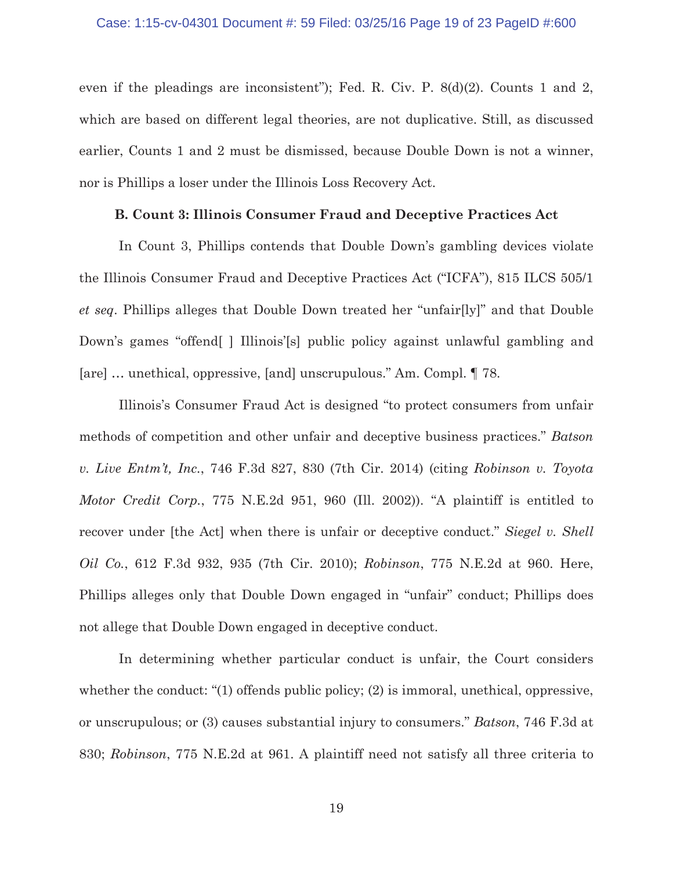### Case: 1:15-cv-04301 Document #: 59 Filed: 03/25/16 Page 19 of 23 PageID #:600

even if the pleadings are inconsistent"); Fed. R. Civ. P. 8(d)(2). Counts 1 and 2, which are based on different legal theories, are not duplicative. Still, as discussed earlier, Counts 1 and 2 must be dismissed, because Double Down is not a winner, nor is Phillips a loser under the Illinois Loss Recovery Act.

## **B. Count 3: Illinois Consumer Fraud and Deceptive Practices Act**

 In Count 3, Phillips contends that Double Down's gambling devices violate the Illinois Consumer Fraud and Deceptive Practices Act ("ICFA"), 815 ILCS 505/1 *et seq*. Phillips alleges that Double Down treated her "unfair[ly]" and that Double Down's games "offend | Illinois's public policy against unlawful gambling and [are] … unethical, oppressive, [and] unscrupulous." Am. Compl. ¶ 78.

 Illinois's Consumer Fraud Act is designed "to protect consumers from unfair methods of competition and other unfair and deceptive business practices." *Batson v. Live Entm't, Inc.*, 746 F.3d 827, 830 (7th Cir. 2014) (citing *Robinson v. Toyota Motor Credit Corp.*, 775 N.E.2d 951, 960 (Ill. 2002)). "A plaintiff is entitled to recover under [the Act] when there is unfair or deceptive conduct." *Siegel v. Shell Oil Co.*, 612 F.3d 932, 935 (7th Cir. 2010); *Robinson*, 775 N.E.2d at 960. Here, Phillips alleges only that Double Down engaged in "unfair" conduct; Phillips does not allege that Double Down engaged in deceptive conduct.

In determining whether particular conduct is unfair, the Court considers whether the conduct: "(1) offends public policy; (2) is immoral, unethical, oppressive, or unscrupulous; or (3) causes substantial injury to consumers." *Batson*, 746 F.3d at 830; *Robinson*, 775 N.E.2d at 961. A plaintiff need not satisfy all three criteria to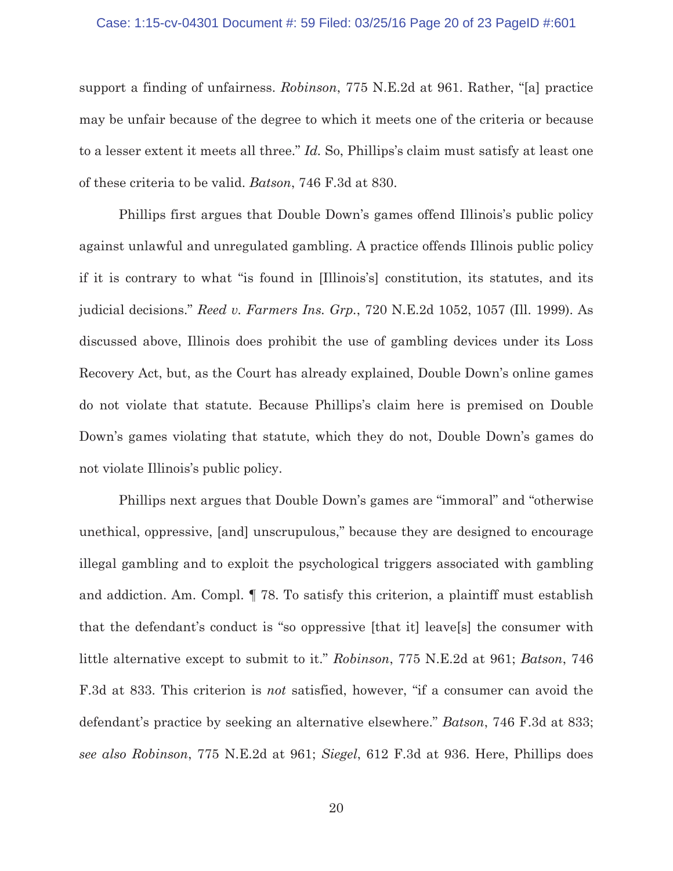### Case: 1:15-cv-04301 Document #: 59 Filed: 03/25/16 Page 20 of 23 PageID #:601

support a finding of unfairness. *Robinson*, 775 N.E.2d at 961. Rather, "[a] practice may be unfair because of the degree to which it meets one of the criteria or because to a lesser extent it meets all three." *Id.* So, Phillips's claim must satisfy at least one of these criteria to be valid. *Batson*, 746 F.3d at 830.

Phillips first argues that Double Down's games offend Illinois's public policy against unlawful and unregulated gambling. A practice offends Illinois public policy if it is contrary to what "is found in [Illinois's] constitution, its statutes, and its judicial decisions." *Reed v. Farmers Ins. Grp.*, 720 N.E.2d 1052, 1057 (Ill. 1999). As discussed above, Illinois does prohibit the use of gambling devices under its Loss Recovery Act, but, as the Court has already explained, Double Down's online games do not violate that statute. Because Phillips's claim here is premised on Double Down's games violating that statute, which they do not, Double Down's games do not violate Illinois's public policy.

Phillips next argues that Double Down's games are "immoral" and "otherwise unethical, oppressive, [and] unscrupulous," because they are designed to encourage illegal gambling and to exploit the psychological triggers associated with gambling and addiction. Am. Compl. ¶ 78. To satisfy this criterion, a plaintiff must establish that the defendant's conduct is "so oppressive [that it] leave[s] the consumer with little alternative except to submit to it." *Robinson*, 775 N.E.2d at 961; *Batson*, 746 F.3d at 833. This criterion is *not* satisfied, however, "if a consumer can avoid the defendant's practice by seeking an alternative elsewhere." *Batson*, 746 F.3d at 833; *see also Robinson*, 775 N.E.2d at 961; *Siegel*, 612 F.3d at 936. Here, Phillips does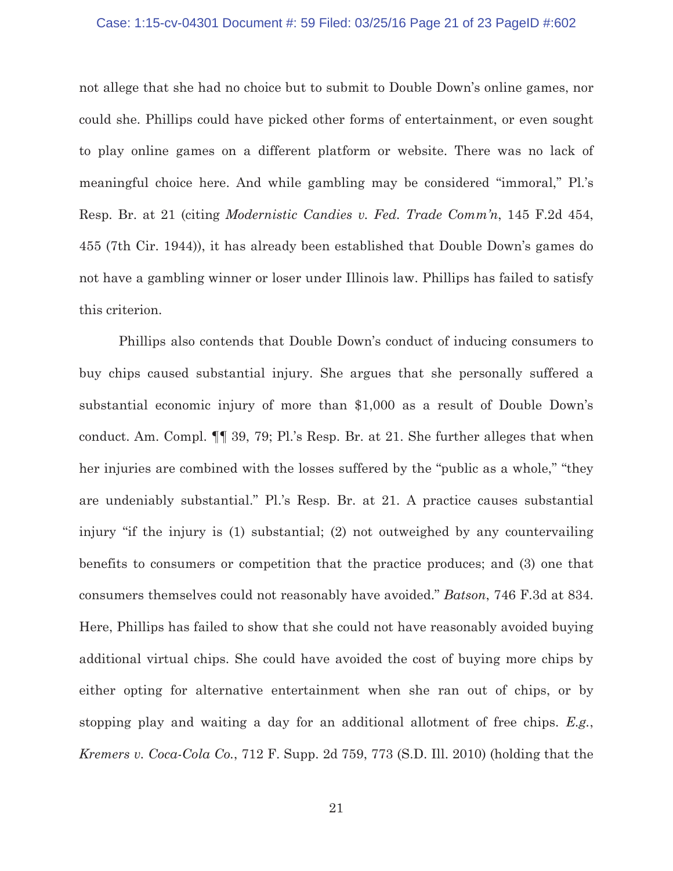### Case: 1:15-cv-04301 Document #: 59 Filed: 03/25/16 Page 21 of 23 PageID #:602

not allege that she had no choice but to submit to Double Down's online games, nor could she. Phillips could have picked other forms of entertainment, or even sought to play online games on a different platform or website. There was no lack of meaningful choice here. And while gambling may be considered "immoral," Pl.'s Resp. Br. at 21 (citing *Modernistic Candies v. Fed. Trade Comm'n*, 145 F.2d 454, 455 (7th Cir. 1944)), it has already been established that Double Down's games do not have a gambling winner or loser under Illinois law. Phillips has failed to satisfy this criterion.

Phillips also contends that Double Down's conduct of inducing consumers to buy chips caused substantial injury. She argues that she personally suffered a substantial economic injury of more than \$1,000 as a result of Double Down's conduct. Am. Compl. ¶¶ 39, 79; Pl.'s Resp. Br. at 21. She further alleges that when her injuries are combined with the losses suffered by the "public as a whole," "they are undeniably substantial." Pl.'s Resp. Br. at 21. A practice causes substantial injury "if the injury is (1) substantial; (2) not outweighed by any countervailing benefits to consumers or competition that the practice produces; and (3) one that consumers themselves could not reasonably have avoided." *Batson*, 746 F.3d at 834. Here, Phillips has failed to show that she could not have reasonably avoided buying additional virtual chips. She could have avoided the cost of buying more chips by either opting for alternative entertainment when she ran out of chips, or by stopping play and waiting a day for an additional allotment of free chips. *E.g.*, *Kremers v. Coca-Cola Co.*, 712 F. Supp. 2d 759, 773 (S.D. Ill. 2010) (holding that the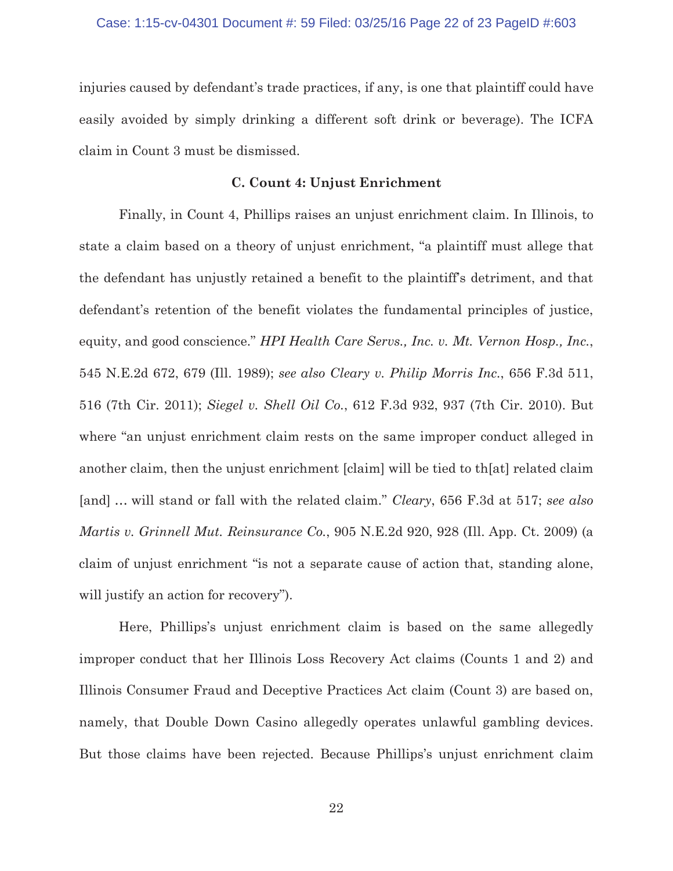injuries caused by defendant's trade practices, if any, is one that plaintiff could have easily avoided by simply drinking a different soft drink or beverage). The ICFA claim in Count 3 must be dismissed.

## **C. Count 4: Unjust Enrichment**

 Finally, in Count 4, Phillips raises an unjust enrichment claim. In Illinois, to state a claim based on a theory of unjust enrichment, "a plaintiff must allege that the defendant has unjustly retained a benefit to the plaintiff's detriment, and that defendant's retention of the benefit violates the fundamental principles of justice, equity, and good conscience." *HPI Health Care Servs., Inc. v. Mt. Vernon Hosp., Inc.*, 545 N.E.2d 672, 679 (Ill. 1989); *see also Cleary v. Philip Morris Inc.*, 656 F.3d 511, 516 (7th Cir. 2011); *Siegel v. Shell Oil Co.*, 612 F.3d 932, 937 (7th Cir. 2010). But where "an unjust enrichment claim rests on the same improper conduct alleged in another claim, then the unjust enrichment [claim] will be tied to th[at] related claim [and] … will stand or fall with the related claim." *Cleary*, 656 F.3d at 517; *see also Martis v. Grinnell Mut. Reinsurance Co.*, 905 N.E.2d 920, 928 (Ill. App. Ct. 2009) (a claim of unjust enrichment "is not a separate cause of action that, standing alone, will justify an action for recovery".

 Here, Phillips's unjust enrichment claim is based on the same allegedly improper conduct that her Illinois Loss Recovery Act claims (Counts 1 and 2) and Illinois Consumer Fraud and Deceptive Practices Act claim (Count 3) are based on, namely, that Double Down Casino allegedly operates unlawful gambling devices. But those claims have been rejected. Because Phillips's unjust enrichment claim